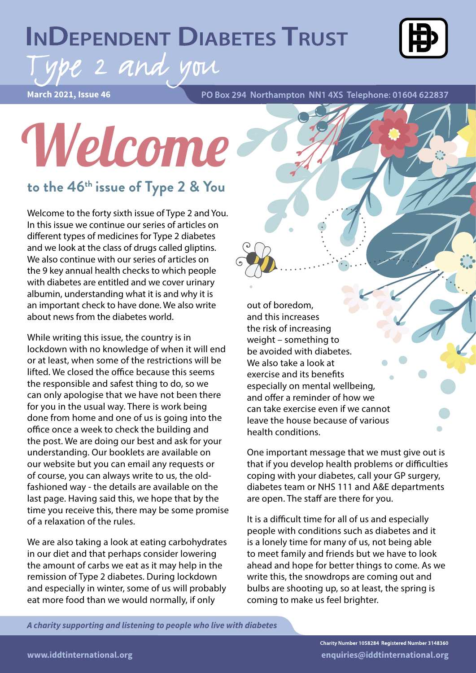## **INDEPENDENT DIABETES TRUST**



# ipe 2 and you

**March 2021, Issue 46**

PO Box 294 Northampton NN1 4XS Telephone: 01604 622837

# Welcome

#### **to the 46th issue of Type 2 & You**

Welcome to the forty sixth issue of Type 2 and You. In this issue we continue our series of articles on different types of medicines for Type 2 diabetes and we look at the class of drugs called gliptins. We also continue with our series of articles on the 9 key annual health checks to which people with diabetes are entitled and we cover urinary albumin, understanding what it is and why it is an important check to have done. We also write about news from the diabetes world.

While writing this issue, the country is in lockdown with no knowledge of when it will end or at least, when some of the restrictions will be lifted. We closed the office because this seems the responsible and safest thing to do, so we can only apologise that we have not been there for you in the usual way. There is work being done from home and one of us is going into the office once a week to check the building and the post. We are doing our best and ask for your understanding. Our booklets are available on our website but you can email any requests or of course, you can always write to us, the oldfashioned way - the details are available on the last page. Having said this, we hope that by the time you receive this, there may be some promise of a relaxation of the rules.

We are also taking a look at eating carbohydrates in our diet and that perhaps consider lowering the amount of carbs we eat as it may help in the remission of Type 2 diabetes. During lockdown and especially in winter, some of us will probably eat more food than we would normally, if only

out of boredom, and this increases the risk of increasing weight – something to be avoided with diabetes. We also take a look at exercise and its benefits especially on mental wellbeing, and offer a reminder of how we can take exercise even if we cannot leave the house because of various health conditions.

One important message that we must give out is that if you develop health problems or difficulties coping with your diabetes, call your GP surgery, diabetes team or NHS 111 and A&E departments are open. The staff are there for you.

It is a difficult time for all of us and especially people with conditions such as diabetes and it is a lonely time for many of us, not being able to meet family and friends but we have to look ahead and hope for better things to come. As we write this, the snowdrops are coming out and bulbs are shooting up, so at least, the spring is coming to make us feel brighter.

*A charity supporting and listening to people who live with diabetes*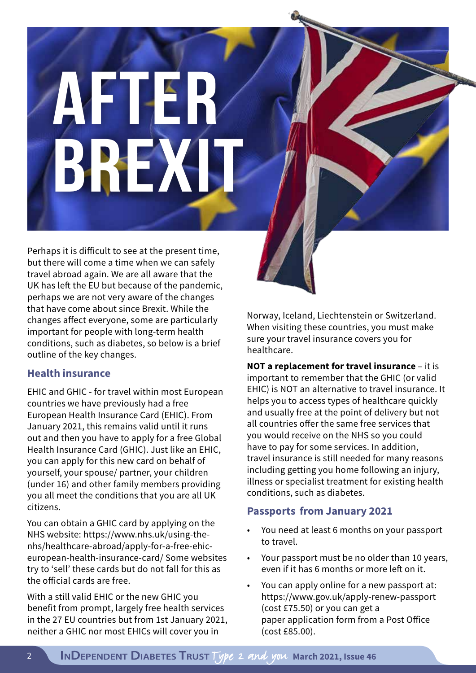# **AFTER BREX**

Perhaps it is difficult to see at the present time, but there will come a time when we can safely travel abroad again. We are all aware that the UK has left the EU but because of the pandemic, perhaps we are not very aware of the changes that have come about since Brexit. While the changes affect everyone, some are particularly important for people with long-term health conditions, such as diabetes, so below is a brief outline of the key changes.

#### **Health insurance**

EHIC and GHIC - for travel within most European countries we have previously had a free European Health Insurance Card (EHIC). From January 2021, this remains valid until it runs out and then you have to apply for a free Global Health Insurance Card (GHIC). Just like an EHIC, you can apply for this new card on behalf of yourself, your spouse/ partner, your children (under 16) and other family members providing you all meet the conditions that you are all UK citizens.

You can obtain a GHIC card by applying on the NHS website: https://www.nhs.uk/using-thenhs/healthcare-abroad/apply-for-a-free-ehiceuropean-health-insurance-card/ Some websites try to 'sell' these cards but do not fall for this as the official cards are free.

With a still valid EHIC or the new GHIC you benefit from prompt, largely free health services in the 27 EU countries but from 1st January 2021, neither a GHIC nor most EHICs will cover you in

Norway, Iceland, Liechtenstein or Switzerland. When visiting these countries, you must make sure your travel insurance covers you for healthcare.

**NOT a replacement for travel insurance** – it is important to remember that the GHIC (or valid EHIC) is NOT an alternative to travel insurance. It helps you to access types of healthcare quickly and usually free at the point of delivery but not all countries offer the same free services that you would receive on the NHS so you could have to pay for some services. In addition, travel insurance is still needed for many reasons including getting you home following an injury, illness or specialist treatment for existing health conditions, such as diabetes.

#### **Passports from January 2021**

- You need at least 6 months on your passport to travel.
- Your passport must be no older than 10 years, even if it has 6 months or more left on it.
- You can apply online for a new passport at: https://www.gov.uk/apply-renew-passport (cost £75.50) or you can get a paper application form from a Post Office (cost £85.00).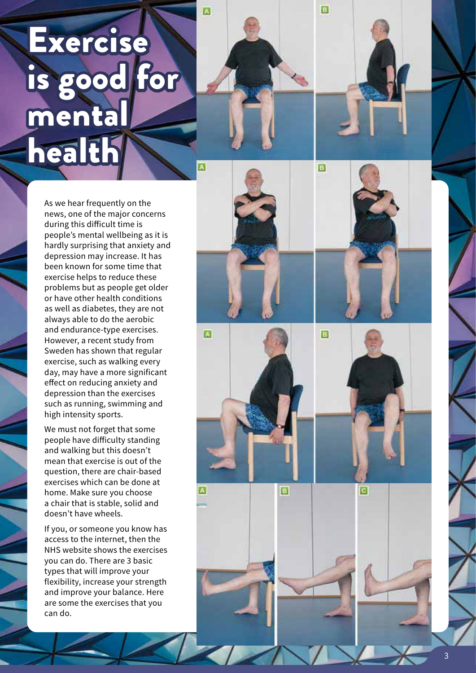# Exercise is good for mental health

As we hear frequently on the news, one of the major concerns during this difficult time is people's mental wellbeing as it is hardly surprising that anxiety and depression may increase. It has been known for some time that exercise helps to reduce these problems but as people get older or have other health conditions as well as diabetes, they are not always able to do the aerobic and endurance-type exercises. However, a recent study from Sweden has shown that regular exercise, such as walking every day, may have a more significant effect on reducing anxiety and depression than the exercises such as running, swimming and high intensity sports.

We must not forget that some people have difficulty standing and walking but this doesn't mean that exercise is out of the question, there are chair-based exercises which can be done at home. Make sure you choose a chair that is stable, solid and doesn't have wheels.

If you, or someone you know has access to the internet, then the NHS website shows the exercises you can do. There are 3 basic types that will improve your flexibility, increase your strength and improve your balance. Here are some the exercises that you can do.



A



ΓR.



B

B



3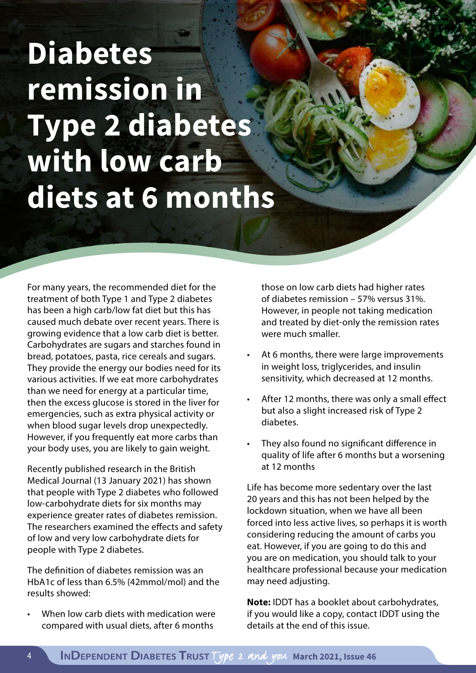# **Diabetes remission in Type 2 diabetes with low carb diets at 6 months**

For many years, the recommended diet for the treatment of both Type 1 and Type 2 diabetes has been a high carb/low fat diet but this has caused much debate over recent years. There is growing evidence that a low carb diet is better. Carbohydrates are sugars and starches found in bread, potatoes, pasta, rice cereals and sugars. They provide the energy our bodies need for its various activities. If we eat more carbohydrates than we need for energy at a particular time, then the excess glucose is stored in the liver for emergencies, such as extra physical activity or when blood sugar levels drop unexpectedly. However, if you frequently eat more carbs than your body uses, you are likely to gain weight.

Recently published research in the British Medical Journal (13 January 2021) has shown that people with Type 2 diabetes who followed low-carbohydrate diets for six months may experience greater rates of diabetes remission. The researchers examined the effects and safety of low and very low carbohydrate diets for people with Type 2 diabetes.

The definition of diabetes remission was an HbA1c of less than 6.5% (42mmol/mol) and the results showed:

When low carb diets with medication were compared with usual diets, after 6 months

those on low carb diets had higher rates of diabetes remission – 57% versus 31%. However, in people not taking medication and treated by diet-only the remission rates were much smaller.

- At 6 months, there were large improvements in weight loss, triglycerides, and insulin sensitivity, which decreased at 12 months.
- After 12 months, there was only a small effect but also a slight increased risk of Type 2 diabetes.
- They also found no significant difference in quality of life after 6 months but a worsening at 12 months

Life has become more sedentary over the last 20 years and this has not been helped by the lockdown situation, when we have all been forced into less active lives, so perhaps it is worth considering reducing the amount of carbs you eat. However, if you are going to do this and you are on medication, you should talk to your healthcare professional because your medication may need adjusting.

**Note:** IDDT has a booklet about carbohydrates, if you would like a copy, contact IDDT using the details at the end of this issue.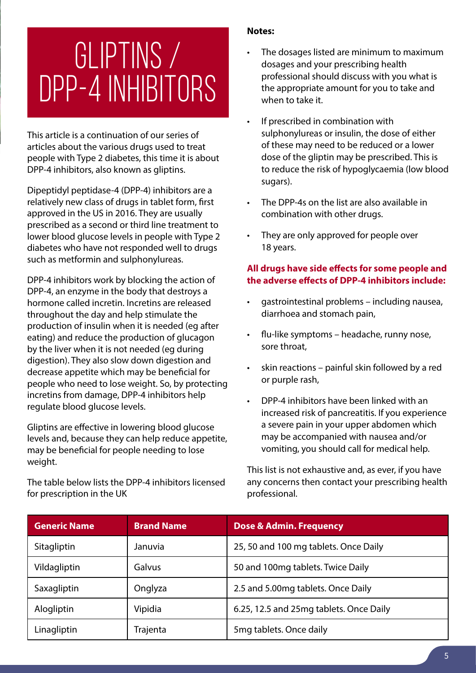# GLIPTINS / DPP-4 INHIBITORS

This article is a continuation of our series of articles about the various drugs used to treat people with Type 2 diabetes, this time it is about DPP-4 inhibitors, also known as gliptins.

Dipeptidyl peptidase-4 (DPP-4) inhibitors are a relatively new class of drugs in tablet form, first approved in the US in 2016. They are usually prescribed as a second or third line treatment to lower blood glucose levels in people with Type 2 diabetes who have not responded well to drugs such as metformin and sulphonylureas.

DPP-4 inhibitors work by blocking the action of DPP-4, an enzyme in the body that destroys a hormone called incretin. Incretins are released throughout the day and help stimulate the production of insulin when it is needed (eg after eating) and reduce the production of glucagon by the liver when it is not needed (eg during digestion). They also slow down digestion and decrease appetite which may be beneficial for people who need to lose weight. So, by protecting incretins from damage, DPP-4 inhibitors help regulate blood glucose levels.

Gliptins are effective in lowering blood glucose levels and, because they can help reduce appetite, may be beneficial for people needing to lose weight.

The table below lists the DPP-4 inhibitors licensed for prescription in the UK

#### **Notes:**

- The dosages listed are minimum to maximum dosages and your prescribing health professional should discuss with you what is the appropriate amount for you to take and when to take it.
- If prescribed in combination with sulphonylureas or insulin, the dose of either of these may need to be reduced or a lower dose of the gliptin may be prescribed. This is to reduce the risk of hypoglycaemia (low blood sugars).
- The DPP-4s on the list are also available in combination with other drugs.
- They are only approved for people over 18 years.

#### **All drugs have side effects for some people and the adverse effects of DPP-4 inhibitors include:**

- gastrointestinal problems including nausea, diarrhoea and stomach pain,
- flu-like symptoms headache, runny nose, sore throat,
- skin reactions painful skin followed by a red or purple rash,
- DPP-4 inhibitors have been linked with an increased risk of pancreatitis. If you experience a severe pain in your upper abdomen which may be accompanied with nausea and/or vomiting, you should call for medical help.

This list is not exhaustive and, as ever, if you have any concerns then contact your prescribing health professional.

| <b>Generic Name</b> | <b>Brand Name</b> | Dose & Admin. Frequency                 |
|---------------------|-------------------|-----------------------------------------|
| Sitagliptin         | Januvia           | 25, 50 and 100 mg tablets. Once Daily   |
| Vildagliptin        | <b>Galvus</b>     | 50 and 100mg tablets. Twice Daily       |
| Saxagliptin         | Onglyza           | 2.5 and 5.00mg tablets. Once Daily      |
| Alogliptin          | Vipidia           | 6.25, 12.5 and 25mg tablets. Once Daily |
| Linagliptin         | Trajenta          | 5mg tablets. Once daily                 |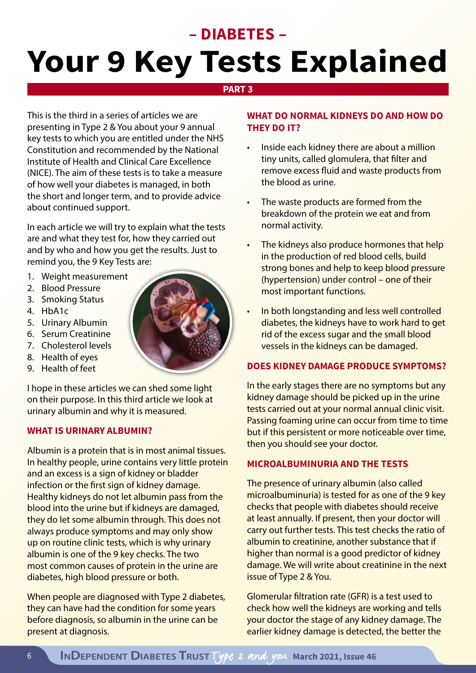# **– DIABETES – Your 9 Key Tests Explained**

#### **PART 3**

This is the third in a series of articles we are presenting in Type 2 & You about your 9 annual key tests to which you are entitled under the NHS Constitution and recommended by the National Institute of Health and Clinical Care Excellence (NICE). The aim of these tests is to take a measure of how well your diabetes is managed, in both the short and longer term, and to provide advice about continued support.

In each article we will try to explain what the tests are and what they test for, how they carried out and by who and how you get the results. Just to remind you, the 9 Key Tests are:

- 1. Weight measurement
- 2. Blood Pressure
- 3. Smoking Status
- 4. HbA1c
- 5. Urinary Albumin
- 6. Serum Creatinine
- 7. Cholesterol levels
- 8. Health of eyes
- 9. Health of feet

I hope in these articles we can shed some light on their purpose. In this third article we look at urinary albumin and why it is measured.

#### **WHAT IS URINARY ALBUMIN?**

Albumin is a protein that is in most animal tissues. In healthy people, urine contains very little protein and an excess is a sign of kidney or bladder infection or the first sign of kidney damage. Healthy kidneys do not let albumin pass from the blood into the urine but if kidneys are damaged, they do let some albumin through. This does not always produce symptoms and may only show up on routine clinic tests, which is why urinary albumin is one of the 9 key checks. The two most common causes of protein in the urine are diabetes, high blood pressure or both.

When people are diagnosed with Type 2 diabetes, they can have had the condition for some years before diagnosis, so albumin in the urine can be present at diagnosis.

#### **WHAT DO NORMAL KIDNEYS DO AND HOW DO THEY DO IT?**

- Inside each kidney there are about a million tiny units, called glomulera, that filter and remove excess fluid and waste products from the blood as urine.
- The waste products are formed from the breakdown of the protein we eat and from normal activity.
- The kidneys also produce hormones that help in the production of red blood cells, build strong bones and help to keep blood pressure (hypertension) under control – one of their most important functions.
- In both longstanding and less well controlled diabetes, the kidneys have to work hard to get rid of the excess sugar and the small blood vessels in the kidneys can be damaged.

#### **DOES KIDNEY DAMAGE PRODUCE SYMPTOMS?**

In the early stages there are no symptoms but any kidney damage should be picked up in the urine tests carried out at your normal annual clinic visit. Passing foaming urine can occur from time to time but if this persistent or more noticeable over time, then you should see your doctor.

#### **MICROALBUMINURIA AND THE TESTS**

The presence of urinary albumin (also called microalbuminuria) is tested for as one of the 9 key checks that people with diabetes should receive at least annually. If present, then your doctor will carry out further tests. This test checks the ratio of albumin to creatinine, another substance that if higher than normal is a good predictor of kidney damage. We will write about creatinine in the next issue of Type 2 & You.

Glomerular filtration rate (GFR) is a test used to check how well the kidneys are working and tells your doctor the stage of any kidney damage. The earlier kidney damage is detected, the better the

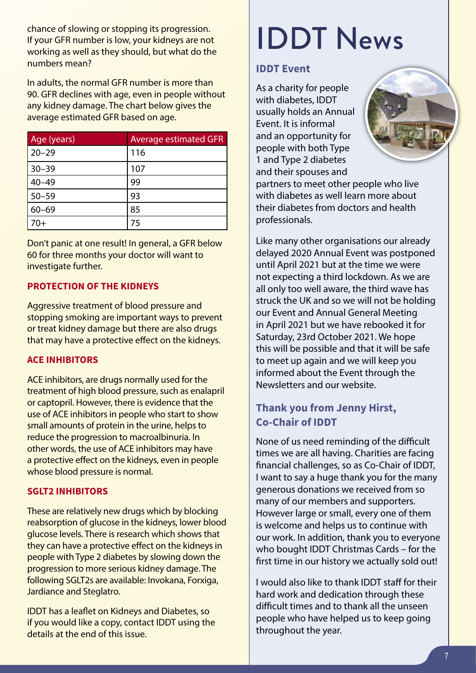chance of slowing or stopping its progression. If your GFR number is low, your kidneys are not working as well as they should, but what do the numbers mean?

In adults, the normal GFR number is more than 90. GFR declines with age, even in people without any kidney damage. The chart below gives the average estimated GFR based on age.

| Age (years) | <b>Average estimated GFR</b> |
|-------------|------------------------------|
| $20 - 29$   | 116                          |
| $30 - 39$   | 107                          |
| $40 - 49$   | 99                           |
| $50 - 59$   | 93                           |
| $60 - 69$   | 85                           |
| 70+         | 75                           |

Don't panic at one result! In general, a GFR below 60 for three months your doctor will want to investigate further.

#### **PROTECTION OF THE KIDNEYS**

Aggressive treatment of blood pressure and stopping smoking are important ways to prevent or treat kidney damage but there are also drugs that may have a protective effect on the kidneys.

#### **ACE INHIBITORS**

ACE inhibitors, are drugs normally used for the treatment of high blood pressure, such as enalapril or captopril. However, there is evidence that the use of ACE inhibitors in people who start to show small amounts of protein in the urine, helps to reduce the progression to macroalbinuria. In other words, the use of ACE inhibitors may have a protective effect on the kidneys, even in people whose blood pressure is normal.

#### **SGLT2 INHIBITORS**

These are relatively new drugs which by blocking reabsorption of glucose in the kidneys, lower blood glucose levels. There is research which shows that they can have a protective effect on the kidneys in people with Type 2 diabetes by slowing down the progression to more serious kidney damage. The following SGLT2s are available: Invokana, Forxiga, Jardiance and Steglatro.

IDDT has a leaflet on Kidneys and Diabetes, so if you would like a copy, contact IDDT using the details at the end of this issue.

# IDDT News

#### **IDDT Event**

As a charity for people with diabetes, IDDT usually holds an Annual Event. It is informal and an opportunity for people with both Type 1 and Type 2 diabetes and their spouses and



partners to meet other people who live with diabetes as well learn more about their diabetes from doctors and health professionals.

Like many other organisations our already delayed 2020 Annual Event was postponed until April 2021 but at the time we were not expecting a third lockdown. As we are all only too well aware, the third wave has struck the UK and so we will not be holding our Event and Annual General Meeting in April 2021 but we have rebooked it for Saturday, 23rd October 2021. We hope this will be possible and that it will be safe to meet up again and we will keep you informed about the Event through the Newsletters and our website.

#### **Thank you from Jenny Hirst, Co-Chair of IDDT**

None of us need reminding of the difficult times we are all having. Charities are facing financial challenges, so as Co-Chair of IDDT, I want to say a huge thank you for the many generous donations we received from so many of our members and supporters. However large or small, every one of them is welcome and helps us to continue with our work. In addition, thank you to everyone who bought IDDT Christmas Cards – for the first time in our history we actually sold out!

I would also like to thank IDDT staff for their hard work and dedication through these difficult times and to thank all the unseen people who have helped us to keep going throughout the year.